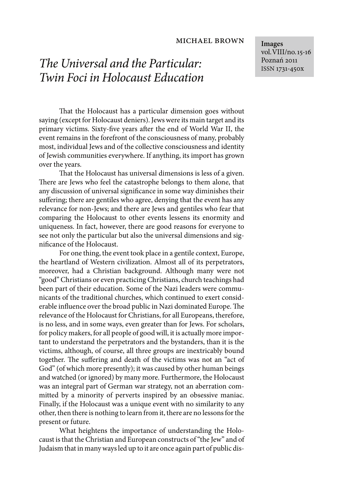#### michael brown

# The Universal and the Particular: Twin Foci in Holocaust Education

That the Holocaust has a particular dimension goes without saying (except for Holocaust deniers). Jews were its main target and its primary victims. Sixty-five years after the end of World War II, the event remains in the forefront of the consciousness of many, probably most, individual Jews and of the collective consciousness and identity of Jewish communities everywhere. If anything, its import has grown over the years.

That the Holocaust has universal dimensions is less of a given. There are Jews who feel the catastrophe belongs to them alone, that any discussion of universal significance in some way diminishes their suffering; there are gentiles who agree, denying that the event has any relevance for non-Jews; and there are Jews and gentiles who fear that comparing the Holocaust to other events lessens its enormity and uniqueness. In fact, however, there are good reasons for everyone to see not only the particular but also the universal dimensions and significance of the Holocaust.

For one thing, the event took place in a gentile context, Europe, the heartland of Western civilization. Almost all of its perpetrators, moreover, had a Christian background. Although many were not "good" Christians or even practicing Christians, church teachings had been part of their education. Some of the Nazi leaders were communicants of the traditional churches, which continued to exert considerable influence over the broad public in Nazi dominated Europe. The relevance of the Holocaust for Christians, for all Europeans, therefore, is no less, and in some ways, even greater than for Jews. For scholars, for policy makers, for all people of good will, it is actually more important to understand the perpetrators and the bystanders, than it is the victims, although, of course, all three groups are inextricably bound together. The suffering and death of the victims was not an "act of God" (of which more presently); it was caused by other human beings and watched (or ignored) by many more. Furthermore, the Holocaust was an integral part of German war strategy, not an aberration committed by a minority of perverts inspired by an obsessive maniac. Finally, if the Holocaust was a unique event with no similarity to any other, then there is nothing to learn from it, there are no lessons for the present or future.

What heightens the importance of understanding the Holocaust is that the Christian and European constructs of "the Jew" and of Judaism that in many ways led up to it are once again part of public dis**Images** vol.VIII/no.15-16 Poznań 2011 ISSN 1731-450x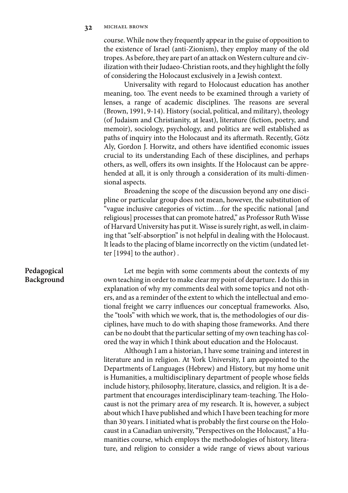course. While now they frequently appear in the guise of opposition to the existence of Israel (anti-Zionism), they employ many of the old tropes. As before, they are part of an attack on Western culture and civilization with their Judaeo-Christian roots, and they highlight the folly of considering the Holocaust exclusively in a Jewish context.

Universality with regard to Holocaust education has another meaning, too. The event needs to be examined through a variety of lenses, a range of academic disciplines. The reasons are several (Brown, 1991, 9-14). History (social, political, and military), theology (of Judaism and Christianity, at least), literature (fiction, poetry, and memoir), sociology, psychology, and politics are well established as paths of inquiry into the Holocaust and its aftermath. Recently, Götz Aly, Gordon J. Horwitz, and others have identified economic issues crucial to its understanding Each of these disciplines, and perhaps others, as well, offers its own insights. If the Holocaust can be apprehended at all, it is only through a consideration of its multi-dimensional aspects.

Broadening the scope of the discussion beyond any one discipline or particular group does not mean, however, the substitution of "vague inclusive categories of victim...for the specific national [and religious] processes that can promote hatred," as Professor Ruth Wisse of Harvard University has put it. Wisse is surely right, as well, in claiming that "self-absorption" is not helpful in dealing with the Holocaust. It leads to the placing of blame incorrectly on the victim (undated letter [1994] to the author) .

Let me begin with some comments about the contexts of my own teaching in order to make clear my point of departure. I do this in explanation of why my comments deal with some topics and not others, and as a reminder of the extent to which the intellectual and emotional freight we carry influences our conceptual frameworks. Also, the "tools" with which we work, that is, the methodologies of our disciplines, have much to do with shaping those frameworks. And there can be no doubt that the particular setting of my own teaching has colored the way in which I think about education and the Holocaust.

Although I am a historian, I have some training and interest in literature and in religion. At York University, I am appointed to the Departments of Languages (Hebrew) and History, but my home unit is Humanities, a multidisciplinary department of people whose fields include history, philosophy, literature, classics, and religion. It is a department that encourages interdisciplinary team-teaching. The Holocaust is not the primary area of my research. It is, however, a subject about which I have published and which I have been teaching for more than 30 years. I initiated what is probably the first course on the Holocaust in a Canadian university, "Perspectives on the Holocaust," a Humanities course, which employs the methodologies of history, literature, and religion to consider a wide range of views about various

## **Pedagogical Background**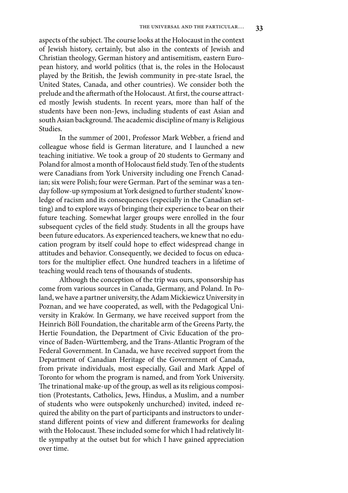aspects of the subject. The course looks at the Holocaust in the context of Jewish history, certainly, but also in the contexts of Jewish and Christian theology, German history and antisemitism, eastern European history, and world politics (that is, the roles in the Holocaust played by the British, the Jewish community in pre-state Israel, the United States, Canada, and other countries). We consider both the prelude and the aftermath of the Holocaust. At first, the course attracted mostly Jewish students. In recent years, more than half of the students have been non-Jews, including students of east Asian and south Asian background. The academic discipline of many is Religious Studies.

In the summer of 2001, Professor Mark Webber, a friend and colleague whose field is German literature, and I launched a new teaching initiative. We took a group of 20 students to Germany and Poland for almost a month of Holocaust field study. Ten of the students were Canadians from York University including one French Canadian; six were Polish; four were German. Part of the seminar was a tenday follow-up symposium at York designed to further students' knowledge of racism and its consequences (especially in the Canadian setting) and to explore ways of bringing their experience to bear on their future teaching. Somewhat larger groups were enrolled in the four subsequent cycles of the field study. Students in all the groups have been future educators. As experienced teachers, we knew that no education program by itself could hope to effect widespread change in attitudes and behavior. Consequently, we decided to focus on educators for the multiplier effect. One hundred teachers in a lifetime of teaching would reach tens of thousands of students.

Although the conception of the trip was ours, sponsorship has come from various sources in Canada, Germany, and Poland. In Poland, we have a partner university, the Adam Mickiewicz University in Poznan, and we have cooperated, as well, with the Pedagogical University in Kraków. In Germany, we have received support from the Heinrich Böll Foundation, the charitable arm of the Greens Party, the Hertie Foundation, the Department of Civic Education of the province of Baden-Württemberg, and the Trans-Atlantic Program of the Federal Government. In Canada, we have received support from the Department of Canadian Heritage of the Government of Canada, from private individuals, most especially, Gail and Mark Appel of Toronto for whom the program is named, and from York University. The trinational make-up of the group, as well as its religious composition (Protestants, Catholics, Jews, Hindus, a Muslim, and a number of students who were outspokenly unchurched) invited, indeed required the ability on the part of participants and instructors to understand different points of view and different frameworks for dealing with the Holocaust. These included some for which I had relatively little sympathy at the outset but for which I have gained appreciation over time.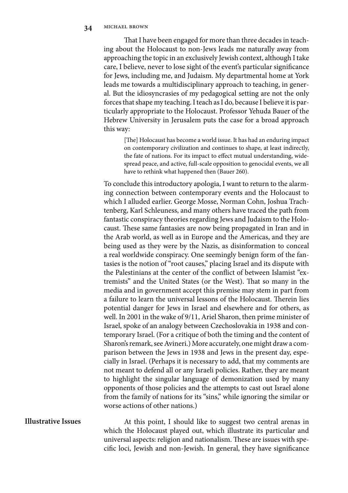That I have been engaged for more than three decades in teaching about the Holocaust to non-Jews leads me naturally away from approaching the topic in an exclusively Jewish context, although I take care, I believe, never to lose sight of the event's particular significance for Jews, including me, and Judaism. My departmental home at York leads me towards a multidisciplinary approach to teaching, in general. But the idiosyncrasies of my pedagogical setting are not the only forces that shape my teaching. I teach as I do, because I believe it is particularly appropriate to the Holocaust. Professor Yehuda Bauer of the Hebrew University in Jerusalem puts the case for a broad approach this way:

> [The] Holocaust has become a world issue. It has had an enduring impact on contemporary civilization and continues to shape, at least indirectly, the fate of nations. For its impact to effect mutual understanding, widespread peace, and active, full-scale opposition to genocidal events, we all have to rethink what happened then (Bauer 260).

To conclude this introductory apologia, I want to return to the alarming connection between contemporary events and the Holocaust to which I alluded earlier. George Mosse, Norman Cohn, Joshua Trachtenberg, Karl Schleuness, and many others have traced the path from fantastic conspiracy theories regarding Jews and Judaism to the Holocaust. These same fantasies are now being propagated in Iran and in the Arab world, as well as in Europe and the Americas, and they are being used as they were by the Nazis, as disinformation to conceal a real worldwide conspiracy. One seemingly benign form of the fantasies is the notion of "root causes," placing Israel and its dispute with the Palestinians at the center of the conflict of between Islamist "extremists" and the United States (or the West). That so many in the media and in government accept this premise may stem in part from a failure to learn the universal lessons of the Holocaust. Therein lies potential danger for Jews in Israel and elsewhere and for others, as well. In 2001 in the wake of 9/11, Ariel Sharon, then prime minister of Israel, spoke of an analogy between Czechoslovakia in 1938 and contemporary Israel. (For a critique of both the timing and the content of Sharon's remark, see Avineri.) More accurately, one might draw a comparison between the Jews in 1938 and Jews in the present day, especially in Israel. (Perhaps it is necessary to add, that my comments are not meant to defend all or any Israeli policies. Rather, they are meant to highlight the singular language of demonization used by many opponents of those policies and the attempts to cast out Israel alone from the family of nations for its "sins," while ignoring the similar or worse actions of other nations.)

## **Illustrative Issues**

At this point, I should like to suggest two central arenas in which the Holocaust played out, which illustrate its particular and universal aspects: religion and nationalism. These are issues with specific loci, Jewish and non-Jewish. In general, they have significance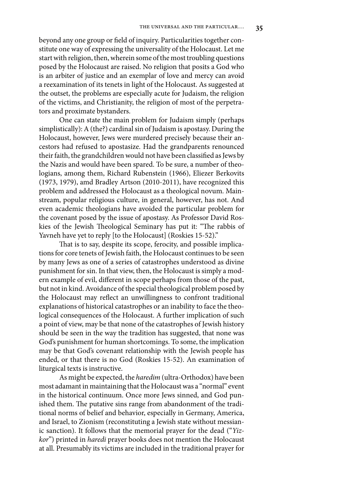beyond any one group or field of inquiry. Particularities together constitute one way of expressing the universality of the Holocaust. Let me start with religion, then, wherein some of the most troubling questions posed by the Holocaust are raised. No religion that posits a God who is an arbiter of justice and an exemplar of love and mercy can avoid a reexamination of its tenets in light of the Holocaust. As suggested at the outset, the problems are especially acute for Judaism, the religion of the victims, and Christianity, the religion of most of the perpetrators and proximate bystanders.

One can state the main problem for Judaism simply (perhaps simplistically): A (the?) cardinal sin of Judaism is apostasy. During the Holocaust, however, Jews were murdered precisely because their ancestors had refused to apostasize. Had the grandparents renounced their faith, the grandchildren would not have been classified as Jews by the Nazis and would have been spared. To be sure, a number of theologians, among them, Richard Rubenstein (1966), Eliezer Berkovits (1973, 1979), amd Bradley Artson (2010-2011), have recognized this problem and addressed the Holocaust as a theological novum. Mainstream, popular religious culture, in general, however, has not. And even academic theologians have avoided the particular problem for the covenant posed by the issue of apostasy. As Professor David Roskies of the Jewish Theological Seminary has put it: "The rabbis of Yavneh have yet to reply [to the Holocaust] (Roskies 15-52)."

That is to say, despite its scope, ferocity, and possible implications for core tenets of Jewish faith, the Holocaust continues to be seen by many Jews as one of a series of catastrophes understood as divine punishment for sin. In that view, then, the Holocaust is simply a modern example of evil, different in scope perhaps from those of the past, but not in kind. Avoidance of the special theological problem posed by the Holocaust may reflect an unwillingness to confront traditional explanations of historical catastrophes or an inability to face the theological consequences of the Holocaust. A further implication of such a point of view, may be that none of the catastrophes of Jewish history should be seen in the way the tradition has suggested, that none was God's punishment for human shortcomings. To some, the implication may be that God's covenant relationship with the Jewish people has ended, or that there is no God (Roskies 15-52). An examination of liturgical texts is instructive.

As might be expected, the haredim (ultra-Orthodox) have been most adamant in maintaining that the Holocaust was a "normal" event in the historical continuum. Once more Jews sinned, and God punished them. The putative sins range from abandonment of the traditional norms of belief and behavior, especially in Germany, America, and Israel, to Zionism (reconstituting a Jewish state without messianic sanction). It follows that the memorial prayer for the dead ("Yizkor") printed in haredi prayer books does not mention the Holocaust at all. Presumably its victims are included in the traditional prayer for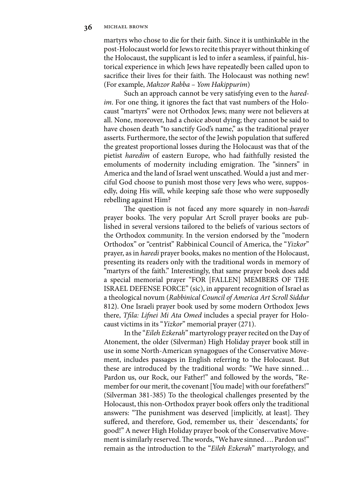martyrs who chose to die for their faith. Since it is unthinkable in the post-Holocaust world for Jews to recite this prayer without thinking of the Holocaust, the supplicant is led to infer a seamless, if painful, historical experience in which Jews have repeatedly been called upon to sacrifice their lives for their faith. The Holocaust was nothing new! (For example, Mahzor Rabba – Yom Hakippurim)

Such an approach cannot be very satisfying even to the haredim. For one thing, it ignores the fact that vast numbers of the Holocaust "martyrs" were not Orthodox Jews; many were not believers at all. None, moreover, had a choice about dying; they cannot be said to have chosen death "to sanctify God's name," as the traditional prayer asserts. Furthermore, the sector of the Jewish population that suffered the greatest proportional losses during the Holocaust was that of the pietist haredim of eastern Europe, who had faithfully resisted the emoluments of modernity including emigration. The "sinners" in America and the land of Israel went unscathed. Would a just and merciful God choose to punish most those very Jews who were, supposedly, doing His will, while keeping safe those who were supposedly rebelling against Him?

The question is not faced any more squarely in non-haredi prayer books. The very popular Art Scroll prayer books are published in several versions tailored to the beliefs of various sectors of the Orthodox community. In the version endorsed by the "modern Orthodox" or "centrist" Rabbinical Council of America, the "Yizkor" prayer, as in haredi prayer books, makes no mention of the Holocaust, presenting its readers only with the traditional words in memory of "martyrs of the faith." Interestingly, that same prayer book does add a special memorial prayer "FOR [FALLEN] MEMBERS OF THE ISRAEL DEFENSE FORCE" (sic), in apparent recognition of Israel as a theological novum (Rabbinical Council of America Art Scroll Siddur 812). One Israeli prayer book used by some modern Orthodox Jews there, Tfila: Lifnei Mi Ata Omed includes a special prayer for Holocaust victims in its "Yizkor" memorial prayer (271).

In the "Eileh Ezkerah" martyrology prayer recited on the Day of Atonement, the older (Silverman) High Holiday prayer book still in use in some North-American synagogues of the Conservative Movement, includes passages in English referring to the Holocaust. But these are introduced by the traditional words: "We have sinned… Pardon us, our Rock, our Father!" and followed by the words, "Remember for our merit, the covenant [You made] with our forefathers!" (Silverman 381-385) To the theological challenges presented by the Holocaust, this non-Orthodox prayer book offers only the traditional answers: "The punishment was deserved [implicitly, at least]. They suffered, and therefore, God, remember us, their 'descendants,' for good!" A newer High Holiday prayer book of the Conservative Movement is similarly reserved. The words, "We have sinned.... Pardon us!" remain as the introduction to the "Eileh Ezkerah" martyrology, and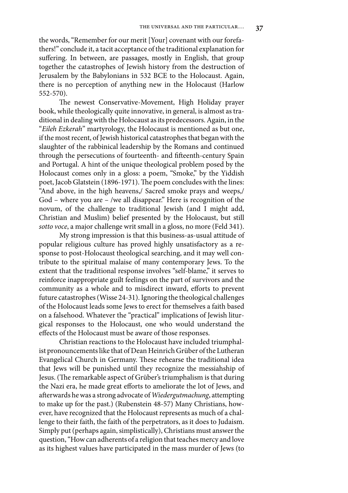the words, "Remember for our merit [Your] covenant with our forefathers!" conclude it, a tacit acceptance of the traditional explanation for suffering. In between, are passages, mostly in English, that group together the catastrophes of Jewish history from the destruction of Jerusalem by the Babylonians in 532 BCE to the Holocaust. Again, there is no perception of anything new in the Holocaust (Harlow 552-570).

The newest Conservative-Movement, High Holiday prayer book, while theologically quite innovative, in general, is almost as traditional in dealing with the Holocaust as its predecessors. Again, in the "Eileh Ezkerah" martyrology, the Holocaust is mentioned as but one, if the most recent, of Jewish historical catastrophes that began with the slaughter of the rabbinical leadership by the Romans and continued through the persecutions of fourteenth- and fifteenth-century Spain and Portugal. A hint of the unique theological problem posed by the Holocaust comes only in a gloss: a poem, "Smoke," by the Yiddish poet, Jacob Glatstein (1896-1971). The poem concludes with the lines: "And above, in the high heavens,/ Sacred smoke prays and weeps,/ God – where you are – /we all disappear." Here is recognition of the novum, of the challenge to traditional Jewish (and I might add, Christian and Muslim) belief presented by the Holocaust, but still sotto voce, a major challenge writ small in a gloss, no more (Feld 341).

My strong impression is that this business-as-usual attitude of popular religious culture has proved highly unsatisfactory as a response to post-Holocaust theological searching, and it may well contribute to the spiritual malaise of many contemporary Jews. To the extent that the traditional response involves "self-blame," it serves to reinforce inappropriate guilt feelings on the part of survivors and the community as a whole and to misdirect inward, efforts to prevent future catastrophes (Wisse 24-31). Ignoring the theological challenges of the Holocaust leads some Jews to erect for themselves a faith based on a falsehood. Whatever the "practical" implications of Jewish liturgical responses to the Holocaust, one who would understand the effects of the Holocaust must be aware of those responses.

Christian reactions to the Holocaust have included triumphalist pronouncements like that of Dean Heinrich Grüber of the Lutheran Evangelical Church in Germany. These rehearse the traditional idea that Jews will be punished until they recognize the messiahship of Jesus. (The remarkable aspect of Grüber's triumphalism is that during the Nazi era, he made great efforts to ameliorate the lot of Jews, and afterwards he was a strong advocate of Wiedergutmachung, attempting to make up for the past.) (Rubenstein 48-57) Many Christians, however, have recognized that the Holocaust represents as much of a challenge to their faith, the faith of the perpetrators, as it does to Judaism. Simply put (perhaps again, simplistically), Christians must answer the question, "How can adherents of a religion that teaches mercy and love as its highest values have participated in the mass murder of Jews (to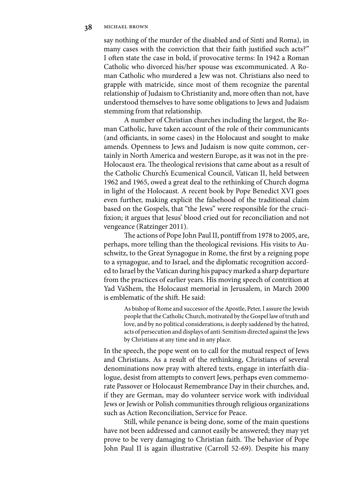say nothing of the murder of the disabled and of Sinti and Roma), in many cases with the conviction that their faith justified such acts?" I often state the case in bold, if provocative terms: In 1942 a Roman Catholic who divorced his/her spouse was excommunicated. A Roman Catholic who murdered a Jew was not. Christians also need to grapple with matricide, since most of them recognize the parental relationship of Judaism to Christianity and, more often than not, have understood themselves to have some obligations to Jews and Judaism stemming from that relationship.

A number of Christian churches including the largest, the Roman Catholic, have taken account of the role of their communicants (and officiants, in some cases) in the Holocaust and sought to make amends. Openness to Jews and Judaism is now quite common, certainly in North America and western Europe, as it was not in the pre-Holocaust era. The theological revisions that came about as a result of the Catholic Church's Ecumenical Council, Vatican II, held between 1962 and 1965, owed a great deal to the rethinking of Church dogma in light of the Holocaust. A recent book by Pope Benedict XVI goes even further, making explicit the falsehood of the traditional claim based on the Gospels, that "the Jews" were responsible for the crucifixion; it argues that Jesus' blood cried out for reconciliation and not vengeance (Ratzinger 2011).

The actions of Pope John Paul II, pontiff from 1978 to 2005, are, perhaps, more telling than the theological revisions. His visits to Auschwitz, to the Great Synagogue in Rome, the first by a reigning pope to a synagogue, and to Israel, and the diplomatic recognition accorded to Israel by the Vatican during his papacy marked a sharp departure from the practices of earlier years. His moving speech of contrition at Yad VaShem, the Holocaust memorial in Jerusalem, in March 2000 is emblematic of the shift. He said:

As bishop of Rome and successor of the Apostle, Peter, I assure the Jewish people that the Catholic Church, motivated by the Gospel law of truth and love, and by no political considerations, is deeply saddened by the hatred, acts of persecution and displays of anti-Semitism directed against the Jews by Christians at any time and in any place.

In the speech, the pope went on to call for the mutual respect of Jews and Christians. As a result of the rethinking, Christians of several denominations now pray with altered texts, engage in interfaith dialogue, desist from attempts to convert Jews, perhaps even commemorate Passover or Holocaust Remembrance Day in their churches, and, if they are German, may do volunteer service work with individual Jews or Jewish or Polish communities through religious organizations such as Action Reconciliation, Service for Peace.

Still, while penance is being done, some of the main questions have not been addressed and cannot easily be answered; they may yet prove to be very damaging to Christian faith. The behavior of Pope John Paul II is again illustrative (Carroll 52-69). Despite his many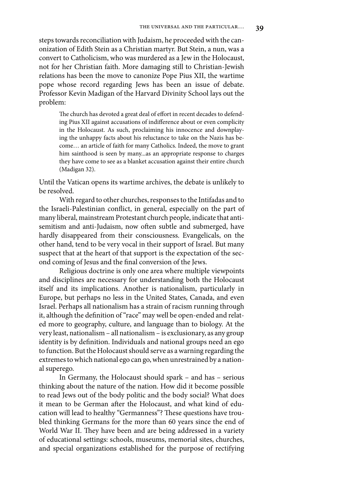steps towards reconciliation with Judaism, he proceeded with the canonization of Edith Stein as a Christian martyr. But Stein, a nun, was a convert to Catholicism, who was murdered as a Jew in the Holocaust, not for her Christian faith. More damaging still to Christian-Jewish relations has been the move to canonize Pope Pius XII, the wartime pope whose record regarding Jews has been an issue of debate. Professor Kevin Madigan of the Harvard Divinity School lays out the problem:

> The church has devoted a great deal of effort in recent decades to defending Pius XII against accusations of indifference about or even complicity in the Holocaust. As such, proclaiming his innocence and downplaying the unhappy facts about his reluctance to take on the Nazis has become… an article of faith for many Catholics. Indeed, the move to grant him sainthood is seen by many...as an appropriate response to charges they have come to see as a blanket accusation against their entire church (Madigan 32).

Until the Vatican opens its wartime archives, the debate is unlikely to be resolved.

With regard to other churches, responses to the Intifadas and to the Israeli-Palestinian conflict, in general, especially on the part of many liberal, mainstream Protestant church people, indicate that antisemitism and anti-Judaism, now often subtle and submerged, have hardly disappeared from their consciousness. Evangelicals, on the other hand, tend to be very vocal in their support of Israel. But many suspect that at the heart of that support is the expectation of the second coming of Jesus and the final conversion of the Jews.

Religious doctrine is only one area where multiple viewpoints and disciplines are necessary for understanding both the Holocaust itself and its implications. Another is nationalism, particularly in Europe, but perhaps no less in the United States, Canada, and even Israel. Perhaps all nationalism has a strain of racism running through it, although the definition of "race" may well be open-ended and related more to geography, culture, and language than to biology. At the very least, nationalism – all nationalism – is exclusionary, as any group identity is by definition. Individuals and national groups need an ego to function. But the Holocaust should serve as a warning regarding the extremes to which national ego can go, when unrestrained by a national superego.

In Germany, the Holocaust should spark – and has – serious thinking about the nature of the nation. How did it become possible to read Jews out of the body politic and the body social? What does it mean to be German after the Holocaust, and what kind of education will lead to healthy "Germanness"? These questions have troubled thinking Germans for the more than 60 years since the end of World War II. They have been and are being addressed in a variety of educational settings: schools, museums, memorial sites, churches, and special organizations established for the purpose of rectifying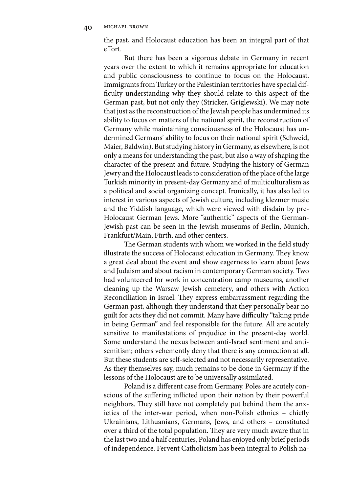the past, and Holocaust education has been an integral part of that effort.

But there has been a vigorous debate in Germany in recent years over the extent to which it remains appropriate for education and public consciousness to continue to focus on the Holocaust. Immigrants from Turkey or the Palestinian territories have special difficulty understanding why they should relate to this aspect of the German past, but not only they (Stricker, Griglewski). We may note that just as the reconstruction of the Jewish people has undermined its ability to focus on matters of the national spirit, the reconstruction of Germany while maintaining consciousness of the Holocaust has undermined Germans' ability to focus on their national spirit (Schweid, Maier, Baldwin). But studying history in Germany, as elsewhere, is not only a means for understanding the past, but also a way of shaping the character of the present and future. Studying the history of German Jewry and the Holocaust leads to consideration of the place of the large Turkish minority in present-day Germany and of multiculturalism as a political and social organizing concept. Ironically, it has also led to interest in various aspects of Jewish culture, including klezmer music and the Yiddish language, which were viewed with disdain by pre-Holocaust German Jews. More "authentic" aspects of the German-Jewish past can be seen in the Jewish museums of Berlin, Munich, Frankfurt/Main, Fürth, and other centers.

The German students with whom we worked in the field study illustrate the success of Holocaust education in Germany. They know a great deal about the event and show eagerness to learn about Jews and Judaism and about racism in contemporary German society. Two had volunteered for work in concentration camp museums, another cleaning up the Warsaw Jewish cemetery, and others with Action Reconciliation in Israel. They express embarrassment regarding the German past, although they understand that they personally bear no guilt for acts they did not commit. Many have difficulty "taking pride in being German" and feel responsible for the future. All are acutely sensitive to manifestations of prejudice in the present-day world. Some understand the nexus between anti-Israel sentiment and antisemitism; others vehemently deny that there is any connection at all. But these students are self-selected and not necessarily representative. As they themselves say, much remains to be done in Germany if the lessons of the Holocaust are to be universally assimilated.

Poland is a different case from Germany. Poles are acutely conscious of the suffering inflicted upon their nation by their powerful neighbors. They still have not completely put behind them the anxieties of the inter-war period, when non-Polish ethnics – chiefly Ukrainians, Lithuanians, Germans, Jews, and others – constituted over a third of the total population. They are very much aware that in the last two and a half centuries, Poland has enjoyed only brief periods of independence. Fervent Catholicism has been integral to Polish na-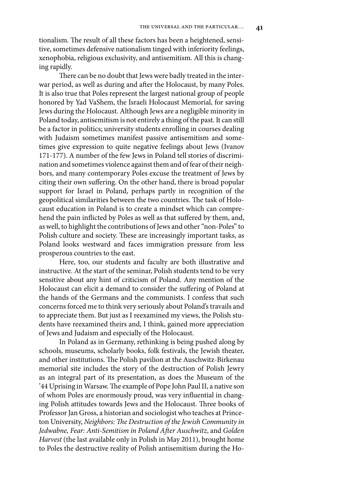tionalism. The result of all these factors has been a heightened, sensitive, sometimes defensive nationalism tinged with inferiority feelings, xenophobia, religious exclusivity, and antisemitism. All this is changing rapidly.

There can be no doubt that Jews were badly treated in the interwar period, as well as during and after the Holocaust, by many Poles. It is also true that Poles represent the largest national group of people honored by Yad VaShem, the Israeli Holocaust Memorial, for saving Jews during the Holocaust. Although Jews are a negligible minority in Poland today, antisemitism is not entirely a thing of the past. It can still be a factor in politics; university students enrolling in courses dealing with Judaism sometimes manifest passive antisemitism and sometimes give expression to quite negative feelings about Jews (Ivanov 171-177). A number of the few Jews in Poland tell stories of discrimination and sometimes violence against them and of fear of their neighbors, and many contemporary Poles excuse the treatment of Jews by citing their own suffering. On the other hand, there is broad popular support for Israel in Poland, perhaps partly in recognition of the geopolitical similarities between the two countries. The task of Holocaust education in Poland is to create a mindset which can comprehend the pain inflicted by Poles as well as that suffered by them, and, as well, to highlight the contributions of Jews and other "non-Poles" to Polish culture and society. These are increasingly important tasks, as Poland looks westward and faces immigration pressure from less prosperous countries to the east.

Here, too, our students and faculty are both illustrative and instructive. At the start of the seminar, Polish students tend to be very sensitive about any hint of criticism of Poland. Any mention of the Holocaust can elicit a demand to consider the suffering of Poland at the hands of the Germans and the communists. I confess that such concerns forced me to think very seriously about Poland's travails and to appreciate them. But just as I reexamined my views, the Polish students have reexamined theirs and, I think, gained more appreciation of Jews and Judaism and especially of the Holocaust.

In Poland as in Germany, rethinking is being pushed along by schools, museums, scholarly books, folk festivals, the Jewish theater, and other institutions. The Polish pavilion at the Auschwitz-Birkenau memorial site includes the story of the destruction of Polish Jewry as an integral part of its presentation, as does the Museum of the '44 Uprising in Warsaw. The example of Pope John Paul II, a native son of whom Poles are enormously proud, was very influential in changing Polish attitudes towards Jews and the Holocaust. Three books of Professor Jan Gross, a historian and sociologist who teaches at Princeton University, Neighbors: The Destruction of the Jewish Community in Jedwabne, Fear: Anti-Semitism in Poland After Auschwitz, and Golden Harvest (the last available only in Polish in May 2011), brought home to Poles the destructive reality of Polish antisemitism during the Ho-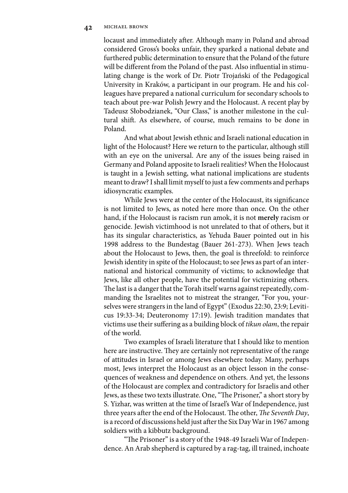#### **42** michael brown

locaust and immediately after. Although many in Poland and abroad considered Gross's books unfair, they sparked a national debate and furthered public determination to ensure that the Poland of the future will be different from the Poland of the past. Also influential in stimulating change is the work of Dr. Piotr Trojański of the Pedagogical University in Kraków, a participant in our program. He and his colleagues have prepared a national curriculum for secondary schools to teach about pre-war Polish Jewry and the Holocaust. A recent play by Tadeusz Słobodzianek, "Our Class," is another milestone in the cultural shift. As elsewhere, of course, much remains to be done in Poland.

And what about Jewish ethnic and Israeli national education in light of the Holocaust? Here we return to the particular, although still with an eye on the universal. Are any of the issues being raised in Germany and Poland apposite to Israeli realities? When the Holocaust is taught in a Jewish setting, what national implications are students meant to draw? I shall limit myself to just a few comments and perhaps idiosyncratic examples.

While Jews were at the center of the Holocaust, its significance is not limited to Jews, as noted here more than once. On the other hand, if the Holocaust is racism run amok, it is not **merely** racism or genocide. Jewish victimhood is not unrelated to that of others, but it has its singular characteristics, as Yehuda Bauer pointed out in his 1998 address to the Bundestag (Bauer 261-273). When Jews teach about the Holocaust to Jews, then, the goal is threefold: to reinforce Jewish identity in spite of the Holocaust; to see Jews as part of an international and historical community of victims; to acknowledge that Jews, like all other people, have the potential for victimizing others. The last is a danger that the Torah itself warns against repeatedly, commanding the Israelites not to mistreat the stranger, "For you, yourselves were strangers in the land of Egypt" (Exodus 22:30, 23:9; Leviticus 19:33-34; Deuteronomy 17:19). Jewish tradition mandates that victims use their suffering as a building block of *tikun olam*, the repair of the world.

Two examples of Israeli literature that I should like to mention here are instructive. They are certainly not representative of the range of attitudes in Israel or among Jews elsewhere today. Many, perhaps most, Jews interpret the Holocaust as an object lesson in the consequences of weakness and dependence on others. And yet, the lessons of the Holocaust are complex and contradictory for Israelis and other Jews, as these two texts illustrate. One, "The Prisoner," a short story by S. Yizhar, was written at the time of Israel's War of Independence, just three years after the end of the Holocaust. The other, The Seventh Day, is a record of discussions held just after the Six Day War in 1967 among soldiers with a kibbutz background.

"The Prisoner" is a story of the 1948-49 Israeli War of Independence. An Arab shepherd is captured by a rag-tag, ill trained, inchoate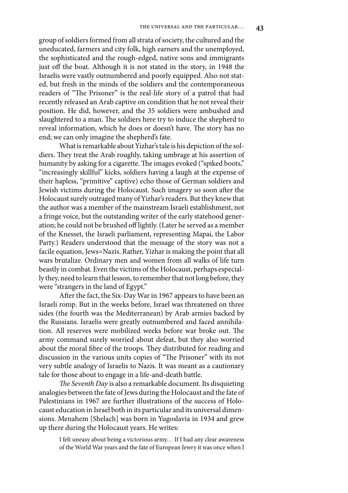group of soldiers formed from all strata of society, the cultured and the uneducated, farmers and city folk, high earners and the unemployed, the sophisticated and the rough-edged, native sons and immigrants just off the boat. Although it is not stated in the story, in 1948 the Israelis were vastly outnumbered and poorly equipped. Also not stated, but fresh in the minds of the soldiers and the contemporaneous readers of "The Prisoner" is the real-life story of a patrol that had recently released an Arab captive on condition that he not reveal their position. He did, however, and the 35 soldiers were ambushed and slaughtered to a man. The soldiers here try to induce the shepherd to reveal information, which he does or doesn't have. The story has no end; we can only imagine the shepherd's fate.

What is remarkable about Yizhar's tale is his depiction of the soldiers. They treat the Arab roughly, taking umbrage at his assertion of humanity by asking for a cigarette. The images evoked ("spiked boots," "increasingly skillful" kicks, soldiers having a laugh at the expense of their hapless, "primitive" captive) echo those of German soldiers and Jewish victims during the Holocaust. Such imagery so soon after the Holocaust surely outraged many of Yizhar's readers. But they knew that the author was a member of the mainstream Israeli establishment, not a fringe voice, but the outstanding writer of the early statehood generation; he could not be brushed off lightly. (Later he served as a member of the Knesset, the Israeli parliament, representing Mapai, the Labor Party.) Readers understood that the message of the story was not a facile equation, Jews=Nazis. Rather, Yizhar is making the point that all wars brutalize. Ordinary men and women from all walks of life turn beastly in combat. Even the victims of the Holocaust, perhaps especially they, need to learn that lesson, to remember that not long before, they were "strangers in the land of Egypt."

After the fact, the Six-Day War in 1967 appears to have been an Israeli romp. But in the weeks before, Israel was threatened on three sides (the fourth was the Mediterranean) by Arab armies backed by the Russians. Israelis were greatly outnumbered and faced annihilation. All reserves were mobilized weeks before war broke out. The army command surely worried about defeat, but they also worried about the moral fibre of the troops. They distributed for reading and discussion in the various units copies of "The Prisoner" with its not very subtle analogy of Israelis to Nazis. It was meant as a cautionary tale for those about to engage in a life-and-death battle.

The Seventh Day is also a remarkable document. Its disquieting analogies between the fate of Jews during the Holocaust and the fate of Palestinians in 1967 are further illustrations of the success of Holocaust education in Israel both in its particular and its universal dimensions. Menahem [Shelach] was born in Yugoslavia in 1934 and grew up there during the Holocaust years. He writes:

I felt uneasy about being a victorious army… If I had any clear awareness of the World War years and the fate of European Jewry it was once when I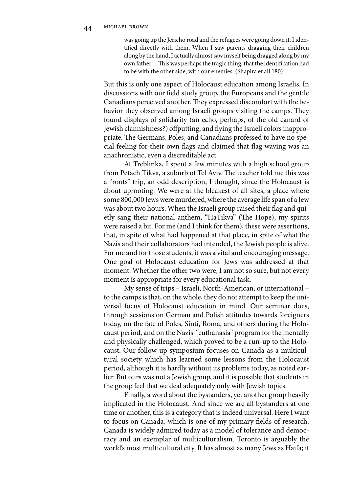was going up the Jericho road and the refugees were going down it. I identified directly with them. When I saw parents dragging their children along by the hand, I actually almost saw myself being dragged along by my own father... This was perhaps the tragic thing, that the identification had to be with the other side, with our enemies. (Shapira et all 180)

But this is only one aspect of Holocaust education among Israelis. In discussions with our field study group, the Europeans and the gentile Canadians perceived another. They expressed discomfort with the behavior they observed among Israeli groups visiting the camps. They found displays of solidarity (an echo, perhaps, of the old canard of Jewish clannishness?) offputting, and flying the Israeli colors inappropriate. The Germans, Poles, and Canadians professed to have no special feeling for their own flags and claimed that flag waving was an anachronistic, even a discreditable act.

At Treblinka, I spent a few minutes with a high school group from Petach Tikva, a suburb of Tel Aviv. The teacher told me this was a "roots" trip, an odd description, I thought, since the Holocaust is about uprooting. We were at the bleakest of all sites, a place where some 800,000 Jews were murdered, where the average life span of a Jew was about two hours. When the Israeli group raised their flag and quietly sang their national anthem, "HaTikva" (The Hope), my spirits were raised a bit. For me (and I think for them), these were assertions, that, in spite of what had happened at that place, in spite of what the Nazis and their collaborators had intended, the Jewish people is alive. For me and for those students, it was a vital and encouraging message. One goal of Holocaust education for Jews was addressed at that moment. Whether the other two were, I am not so sure, but not every moment is appropriate for every educational task.

My sense of trips – Israeli, North-American, or international – to the camps is that, on the whole, they do not attempt to keep the universal focus of Holocaust education in mind. Our seminar does, through sessions on German and Polish attitudes towards foreigners today, on the fate of Poles, Sinti, Roma, and others during the Holocaust period, and on the Nazis' "euthanasia" program for the mentally and physically challenged, which proved to be a run-up to the Holocaust. Our follow-up symposium focuses on Canada as a multicultural society which has learned some lessons from the Holocaust period, although it is hardly without its problems today, as noted earlier. But ours was not a Jewish group, and it is possible that students in the group feel that we deal adequately only with Jewish topics.

Finally, a word about the bystanders, yet another group heavily implicated in the Holocaust. And since we are all bystanders at one time or another, this is a category that is indeed universal. Here I want to focus on Canada, which is one of my primary fields of research. Canada is widely admired today as a model of tolerance and democracy and an exemplar of multiculturalism. Toronto is arguably the world's most multicultural city. It has almost as many Jews as Haifa; it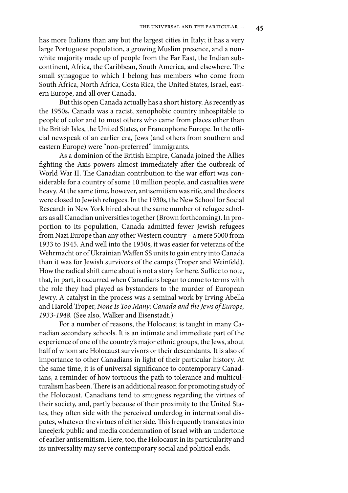has more Italians than any but the largest cities in Italy; it has a very large Portuguese population, a growing Muslim presence, and a nonwhite majority made up of people from the Far East, the Indian subcontinent, Africa, the Caribbean, South America, and elsewhere. The small synagogue to which I belong has members who come from South Africa, North Africa, Costa Rica, the United States, Israel, eastern Europe, and all over Canada.

But this open Canada actually has a short history. As recently as the 1950s, Canada was a racist, xenophobic country inhospitable to people of color and to most others who came from places other than the British Isles, the United States, or Francophone Europe. In the official newspeak of an earlier era, Jews (and others from southern and eastern Europe) were "non-preferred" immigrants.

As a dominion of the British Empire, Canada joined the Allies fighting the Axis powers almost immediately after the outbreak of World War II. The Canadian contribution to the war effort was considerable for a country of some 10 million people, and casualties were heavy. At the same time, however, antisemitism was rife, and the doors were closed to Jewish refugees. In the 1930s, the New School for Social Research in New York hired about the same number of refugee scholars as all Canadian universities together (Brown forthcoming). In proportion to its population, Canada admitted fewer Jewish refugees from Nazi Europe than any other Western country – a mere 5000 from 1933 to 1945. And well into the 1950s, it was easier for veterans of the Wehrmacht or of Ukrainian Waffen SS units to gain entry into Canada than it was for Jewish survivors of the camps (Troper and Weinfeld). How the radical shift came about is not a story for here. Suffice to note, that, in part, it occurred when Canadians began to come to terms with the role they had played as bystanders to the murder of European Jewry. A catalyst in the process was a seminal work by Irving Abella and Harold Troper, None Is Too Many: Canada and the Jews of Europe, 1933-1948. (See also, Walker and Eisenstadt.)

For a number of reasons, the Holocaust is taught in many Canadian secondary schools. It is an intimate and immediate part of the experience of one of the country's major ethnic groups, the Jews, about half of whom are Holocaust survivors or their descendants. It is also of importance to other Canadians in light of their particular history. At the same time, it is of universal significance to contemporary Canadians, a reminder of how tortuous the path to tolerance and multiculturalism has been. There is an additional reason for promoting study of the Holocaust. Canadians tend to smugness regarding the virtues of their society, and, partly because of their proximity to the United States, they often side with the perceived underdog in international disputes, whatever the virtues of either side. This frequently translates into kneejerk public and media condemnation of Israel with an undertone of earlier antisemitism. Here, too, the Holocaust in its particularity and its universality may serve contemporary social and political ends.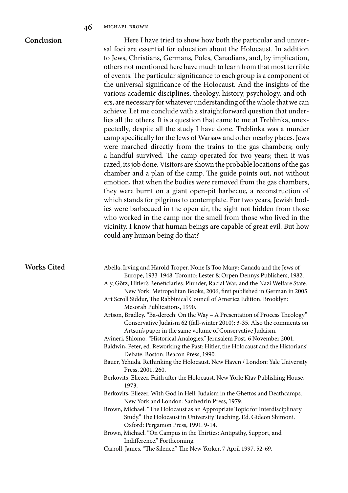## **Conclusion**

Here I have tried to show how both the particular and universal foci are essential for education about the Holocaust. In addition to Jews, Christians, Germans, Poles, Canadians, and, by implication, others not mentioned here have much to learn from that most terrible of events. The particular significance to each group is a component of the universal significance of the Holocaust. And the insights of the various academic disciplines, theology, history, psychology, and others, are necessary for whatever understanding of the whole that we can achieve. Let me conclude with a straightforward question that underlies all the others. It is a question that came to me at Treblinka, unexpectedly, despite all the study I have done. Treblinka was a murder camp specifically for the Jews of Warsaw and other nearby places. Jews were marched directly from the trains to the gas chambers; only a handful survived. The camp operated for two years; then it was razed, its job done. Visitors are shown the probable locations of the gas chamber and a plan of the camp. The guide points out, not without emotion, that when the bodies were removed from the gas chambers, they were burnt on a giant open-pit barbecue, a reconstruction of which stands for pilgrims to contemplate. For two years, Jewish bodies were barbecued in the open air, the sight not hidden from those who worked in the camp nor the smell from those who lived in the vicinity. I know that human beings are capable of great evil. But how could any human being do that?

#### **Works Cited**

- Abella, Irving and Harold Troper. None Is Too Many: Canada and the Jews of Europe, 1933-1948. Toronto: Lester & Orpen Dennys Publishers, 1982.
- Aly, Götz, Hitler's Beneficiaries: Plunder, Racial War, and the Nazi Welfare State. New York: Metropolitan Books, 2006, first published in German in 2005.
- Art Scroll Siddur, The Rabbinical Council of America Edition. Brooklyn: Mesorah Publications, 1990.
- Artson, Bradley. "Ba-derech: On the Way A Presentation of Process Theology." Conservative Judaism 62 (fall-winter 2010): 3-35. Also the comments on Artson's paper in the same volume of Conservative Judaism.
- Avineri, Shlomo. "Historical Analogies." Jerusalem Post, 6 November 2001.

Baldwin, Peter, ed. Reworking the Past: Hitler, the Holocaust and the Historians' Debate. Boston: Beacon Press, 1990.

- Bauer, Yehuda. Rethinking the Holocaust. New Haven / London: Yale University Press, 2001. 260.
- Berkovits, Eliezer. Faith after the Holocaust. New York: Ktav Publishing House, 1973.

Berkovits, Eliezer. With God in Hell: Judaism in the Ghettos and Deathcamps. New York and London: Sanhedrin Press, 1979.

- Brown, Michael. "The Holocaust as an Appropriate Topic for Interdisciplinary Study." The Holocaust in University Teaching. Ed. Gideon Shimoni. Oxford: Pergamon Press, 1991. 9-14.
- Brown, Michael. "On Campus in the Thirties: Antipathy, Support, and Indifference." Forthcoming.
- Carroll, James. "The Silence." The New Yorker, 7 April 1997. 52-69.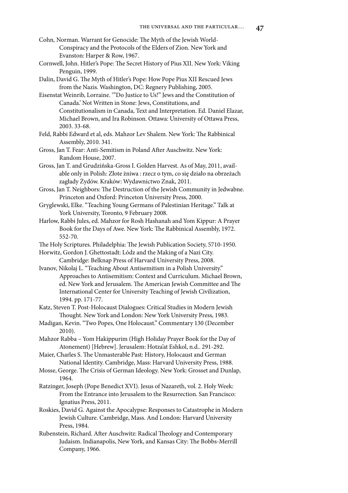- Cohn, Norman. Warrant for Genocide: The Myth of the Jewish World-Conspiracy and the Protocols of the Elders of Zion. New York and Evanston: Harper & Row, 1967.
- Cornwell, John. Hitler's Pope: The Secret History of Pius XII. New York: Viking Penguin, 1999.
- Dalin, David G. The Myth of Hitler's Pope: How Pope Pius XII Rescued Jews from the Nazis. Washington, DC: Regnery Publishing, 2005.
- Eisenstat Weinrib, Lorraine. '"Do Justice to Us!" Jews and the Constitution of Canada.' Not Written in Stone: Jews, Constitutions, and Constitutionalism in Canada, Text and Interpretation. Ed. Daniel Elazar, Michael Brown, and Ira Robinson. Ottawa: University of Ottawa Press, 2003. 33-68.
- Feld, Rabbi Edward et al, eds. Mahzor Lev Shalem. New York: The Rabbinical Assembly, 2010. 341.
- Gross, Jan T. Fear: Anti-Semitism in Poland After Auschwitz. New York: Random House, 2007.
- Gross, Jan T. and Grudzińska-Gross I. Golden Harvest. As of May, 2011, available only in Polish: Złote żniwa : rzecz o tym, co się działo na obrzeżach zagłady Żydów. Kraków: Wydawnictwo Znak, 2011.
- Gross, Jan T. Neighbors: The Destruction of the Jewish Community in Jedwabne. Princeton and Oxford: Princeton University Press, 2000.
- Gryglewski, Elke. "Teaching Young Germans of Palestinian Heritage." Talk at York University, Toronto, 9 February 2008.
- Harlow, Rabbi Jules, ed. Mahzor for Rosh Hashanah and Yom Kippur: A Prayer Book for the Days of Awe. New York: The Rabbinical Assembly, 1972. 552-70.
- The Holy Scriptures. Philadelphia: The Jewish Publication Society, 5710-1950.
- Horwitz, Gordon J. Ghettostadt: Lódz and the Making of a Nazi City. Cambridge: Belknap Press of Harvard University Press, 2008.
- Ivanov, Nikolaj L. "Teaching About Antisemitism in a Polish University." Approaches to Antisemitism: Context and Curriculum. Michael Brown, ed. New York and Jerusalem. The American Jewish Committee and The International Center for University Teaching of Jewish Civilization, 1994. pp. 171-77.
- Katz, Steven T. Post-Holocaust Dialogues: Critical Studies in Modern Jewish Thought. New York and London: New York University Press, 1983.
- Madigan, Kevin. "Two Popes, One Holocaust." Commentary 130 (December 2010).
- Mahzor Rabba Yom Hakippurim (High Holiday Prayer Book for the Day of Atonement) [Hebrew]. Jerusalem: Hotza'at Eshkol, n.d.. 291-292.
- Maier, Charles S. The Unmasterable Past: History, Holocaust and German National Identity. Cambridge, Mass: Harvard University Press, 1988.
- Mosse, George. The Crisis of German Ideology. New York: Grosset and Dunlap, 1964.
- Ratzinger, Joseph (Pope Benedict XVI). Jesus of Nazareth, vol. 2. Holy Week: From the Entrance into Jerusalem to the Resurrection. San Francisco: Ignatius Press, 2011.
- Roskies, David G. Against the Apocalypse: Responses to Catastrophe in Modern Jewish Culture. Cambridge, Mass. And London: Harvard University Press, 1984.
- Rubenstein, Richard. After Auschwitz: Radical Theology and Contemporary Judaism. Indianapolis, New York, and Kansas City: The Bobbs-Merrill Company, 1966.